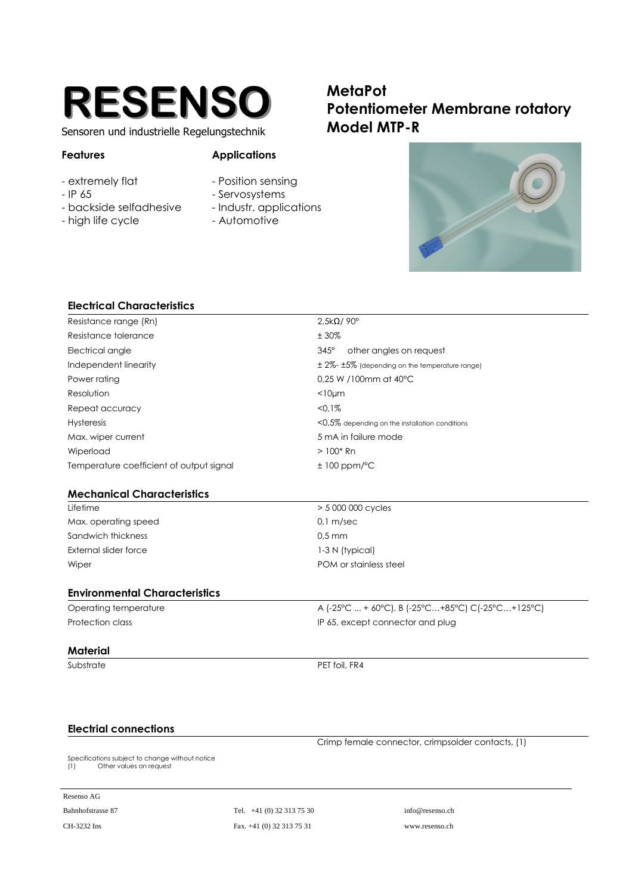

Sensoren und industrielle Regelungstechnik

## **Features Applications**

- extremely flat The Sensing Position sensing
- 
- 
- high life cycle  **Automotive**
- 
- IP 65 Servosystems
- backside selfadhesive Industr. applications
	-





| other angles on request                                 |  |
|---------------------------------------------------------|--|
| $\pm$ 2%- $\pm$ 5% (depending on the temperature range) |  |
|                                                         |  |
|                                                         |  |
|                                                         |  |
| $<$ 0,5% depending on the installation conditions       |  |
| 5 mA in failure mode                                    |  |
|                                                         |  |
|                                                         |  |
|                                                         |  |
|                                                         |  |
|                                                         |  |
|                                                         |  |
|                                                         |  |
|                                                         |  |
|                                                         |  |
| A (-25°C  + 60°C), B (-25°C+85°C) C(-25°C+125°C)        |  |
| IP 65, except connector and plug                        |  |
|                                                         |  |
|                                                         |  |
|                                                         |  |

## **Electrial connections**

Crimp female connector, crimpsolder contacts, (1)

Specifications subject to change without notice (1) Other values on request

Resenso AG

Bahnhofstrasse 87 Tel. +41 (0) 32 313 75 30 info@resenso.ch CH-3232 Ins Fax. +41 (0) 32 313 75 31 www.resenso.ch